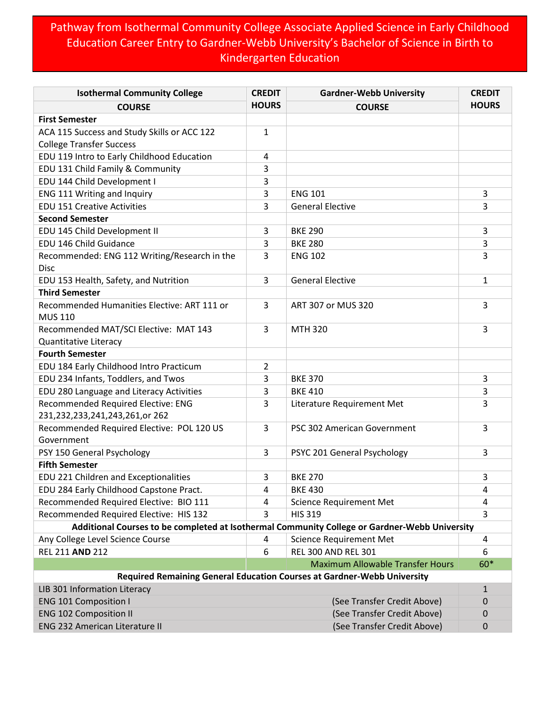## Pathway from Isothermal Community College Associate Applied Science in Early Childhood Education Career Entry to Gardner-Webb University's Bachelor of Science in Birth to Kindergarten Education

| <b>Isothermal Community College</b>                                                           | <b>CREDIT</b>  | <b>Gardner-Webb University</b>                                          | <b>CREDIT</b> |
|-----------------------------------------------------------------------------------------------|----------------|-------------------------------------------------------------------------|---------------|
| <b>COURSE</b>                                                                                 | <b>HOURS</b>   | <b>COURSE</b>                                                           | <b>HOURS</b>  |
| <b>First Semester</b>                                                                         |                |                                                                         |               |
| ACA 115 Success and Study Skills or ACC 122                                                   | 1              |                                                                         |               |
| <b>College Transfer Success</b>                                                               |                |                                                                         |               |
| EDU 119 Intro to Early Childhood Education                                                    | 4              |                                                                         |               |
| EDU 131 Child Family & Community                                                              | 3              |                                                                         |               |
| EDU 144 Child Development I                                                                   | 3              |                                                                         |               |
| ENG 111 Writing and Inquiry                                                                   | 3              | <b>ENG 101</b>                                                          | 3             |
| <b>EDU 151 Creative Activities</b>                                                            | 3              | <b>General Elective</b>                                                 | 3             |
| <b>Second Semester</b>                                                                        |                |                                                                         |               |
| EDU 145 Child Development II                                                                  | 3              | <b>BKE 290</b>                                                          | 3             |
| EDU 146 Child Guidance                                                                        | 3              | <b>BKE 280</b>                                                          | 3             |
| Recommended: ENG 112 Writing/Research in the<br><b>Disc</b>                                   | 3              | <b>ENG 102</b>                                                          | 3             |
| EDU 153 Health, Safety, and Nutrition                                                         | 3              | <b>General Elective</b>                                                 | $\mathbf{1}$  |
| <b>Third Semester</b>                                                                         |                |                                                                         |               |
| Recommended Humanities Elective: ART 111 or                                                   | 3              | ART 307 or MUS 320                                                      | 3             |
| <b>MUS 110</b>                                                                                |                |                                                                         |               |
| Recommended MAT/SCI Elective: MAT 143                                                         | 3              | <b>MTH 320</b>                                                          | 3             |
| Quantitative Literacy                                                                         |                |                                                                         |               |
| <b>Fourth Semester</b>                                                                        |                |                                                                         |               |
| EDU 184 Early Childhood Intro Practicum                                                       | $\overline{2}$ |                                                                         |               |
| EDU 234 Infants, Toddlers, and Twos                                                           | 3              | <b>BKE 370</b>                                                          | 3             |
| EDU 280 Language and Literacy Activities                                                      | 3              | <b>BKE 410</b>                                                          | 3             |
| Recommended Required Elective: ENG                                                            | 3              | Literature Requirement Met                                              | 3             |
| 231,232,233,241,243,261,or 262                                                                |                |                                                                         |               |
| Recommended Required Elective: POL 120 US                                                     | 3              | PSC 302 American Government                                             | 3             |
| Government                                                                                    |                |                                                                         |               |
| PSY 150 General Psychology                                                                    | 3              | PSYC 201 General Psychology                                             | 3             |
| <b>Fifth Semester</b>                                                                         |                |                                                                         |               |
| EDU 221 Children and Exceptionalities                                                         | 3              | <b>BKE 270</b>                                                          | 3             |
| EDU 284 Early Childhood Capstone Pract.                                                       | 4              | <b>BKE 430</b>                                                          | 4             |
| Recommended Required Elective: BIO 111                                                        | 4              | <b>Science Requirement Met</b>                                          | 4             |
| Recommended Required Elective: HIS 132                                                        | 3              | <b>HIS 319</b>                                                          | 3             |
| Additional Courses to be completed at Isothermal Community College or Gardner-Webb University |                |                                                                         |               |
| Any College Level Science Course                                                              | 4              | <b>Science Requirement Met</b>                                          | 4             |
| REL 211 AND 212                                                                               | 6              | <b>REL 300 AND REL 301</b>                                              | 6             |
|                                                                                               |                | <b>Maximum Allowable Transfer Hours</b>                                 | 60*           |
|                                                                                               |                | Required Remaining General Education Courses at Gardner-Webb University |               |
| LIB 301 Information Literacy                                                                  |                |                                                                         | $\mathbf{1}$  |
| <b>ENG 101 Composition I</b>                                                                  |                | (See Transfer Credit Above)                                             | 0             |
| <b>ENG 102 Composition II</b>                                                                 |                | (See Transfer Credit Above)                                             | 0             |
| <b>ENG 232 American Literature II</b>                                                         |                | (See Transfer Credit Above)                                             | 0             |